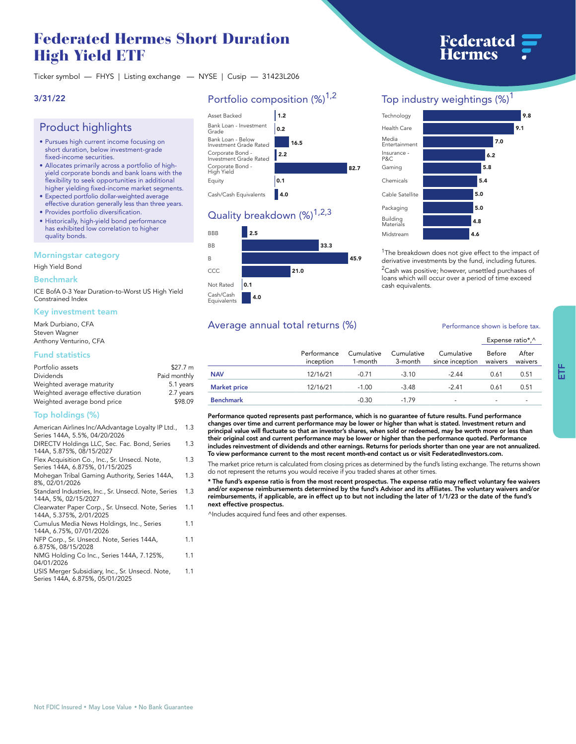# **Federated Hermes Short Duration High Yield ETF**

**Ticker symbol — FHYS | Listing exchange — NYSE | Cusip — 31423L206**

# **3/31/22**

# **Product highlights**

- **• Pursues high current income focusing on short duration, below investment-grade fixed-income securities.**
- **• Allocates primarily across a portfolio of highyield corporate bonds and bank loans with the flexibility to seek opportunities in additional higher yielding fixed-income market segments.**
- **• Expected portfolio dollar-weighted average effective duration generally less than three years.**
- **• Provides portfolio diversification.**
- **• Historically, high-yield bond performance has exhibited low correlation to higher quality bonds.**

## **Morningstar category**

**High Yield Bond**

#### **Benchmark**

**ICE BofA 0-3 Year Duration-to-Worst US High Yield Constrained Index**

#### **Key investment team**

**Mark Durbiano, CFA Steven Wagner Anthony Venturino, CFA**

## **Fund statistics**

| Portfolio assets                    | \$27.7 m     |
|-------------------------------------|--------------|
| Dividends                           | Paid monthly |
| Weighted average maturity           | 5.1 years    |
| Weighted average effective duration | 2.7 years    |
| Weighted average bond price         | \$98.09      |

## **Top holdings (%)**

| American Airlines Inc/AAdvantage Loyalty IP Ltd.,<br>Series 144A, 5.5%, 04/20/2026 | 1.3 |
|------------------------------------------------------------------------------------|-----|
| DIRECTV Holdings LLC, Sec. Fac. Bond, Series<br>144A, 5.875%, 08/15/2027           | 1.3 |
| Flex Acquisition Co., Inc., Sr. Unsecd. Note,<br>Series 144A, 6.875%, 01/15/2025   | 1.3 |
| Mohegan Tribal Gaming Authority, Series 144A,<br>8%, 02/01/2026                    | 1.3 |
| Standard Industries, Inc., Sr. Unsecd. Note, Series<br>144A, 5%, 02/15/2027        | 1.3 |
| Clearwater Paper Corp., Sr. Unsecd. Note, Series<br>144A, 5.375%, 2/01/2025        | 1.1 |
| Cumulus Media News Holdings, Inc., Series<br>144A, 6.75%, 07/01/2026               | 1.1 |
| NFP Corp., Sr. Unsecd. Note, Series 144A,<br>6.875%, 08/15/2028                    | 1.1 |
| NMG Holding Co Inc., Series 144A, 7.125%,<br>04/01/2026                            | 1.1 |
| USIS Merger Subsidiary, Inc., Sr. Unsecd. Note,<br>Series 144A, 6.875%, 05/01/2025 | 1.1 |

# **Portfolio composition (%)1,2**



# **Quality breakdown (%)1,2,3**



# **Top industry weightings (%)<sup>1</sup>**



**<sup>1</sup>The breakdown does not give effect to the impact of derivative investments by the fund, including futures. <sup>2</sup>Cash was positive; however, unsettled purchases of loans which will occur over a period of time exceed cash equivalents.**

# Average annual total returns  $\left(\% \right)$  **Performance shown is before tax.**

#### **Expense ratio\*,^ Performance inception Cumulative 1-month Cumulative 3-month Cumulative since inception Before waivers After waivers NAV 12/16/21 -0.71 -3.10 -2.44 0.61 0.51 Market price 12/16/21 -1.00 -3.48 -2.41 0.61 0.51**

**Benchmark -0.30 -1.79 - - - Performance quoted represents past performance, which is no guarantee of future results. Fund performance changes over time and current performance may be lower or higher than what is stated. Investment return and principal value will fluctuate so that an investor's shares, when sold or redeemed, may be worth more or less than their original cost and current performance may be lower or higher than the performance quoted. Performance includes reinvestment of dividends and other earnings. Returns for periods shorter than one year are not annualized. To view performance current to the most recent month-end contact us or visit [FederatedInvestors.com.](www.federatedinvestors.com)**

The market price return is calculated from closing prices as determined by the fund's listing exchange. The returns shown<br>do not represent the returns you would receive if you traded shares at other times.

**\* The fund's expense ratio is from the most recent prospectus. The expense ratio may reflect voluntary fee waivers and/or expense reimbursements determined by the fund's Advisor and its affiliates. The voluntary waivers and/or reimbursements, if applicable, are in effect up to but not including the later of 1/1/23 or the date of the fund's next effective prospectus.**

**^Includes acquired fund fees and other expenses.**

# **Federated**<br>Hermes